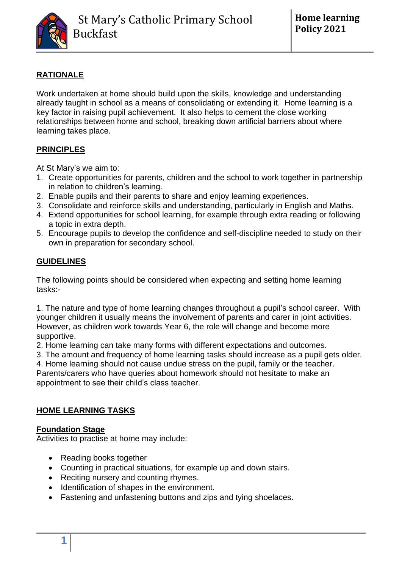

# **RATIONALE**

Work undertaken at home should build upon the skills, knowledge and understanding already taught in school as a means of consolidating or extending it. Home learning is a key factor in raising pupil achievement. It also helps to cement the close working relationships between home and school, breaking down artificial barriers about where learning takes place.

## **PRINCIPLES**

At St Mary's we aim to:

- 1. Create opportunities for parents, children and the school to work together in partnership in relation to children's learning.
- 2. Enable pupils and their parents to share and enjoy learning experiences.
- 3. Consolidate and reinforce skills and understanding, particularly in English and Maths.
- 4. Extend opportunities for school learning, for example through extra reading or following a topic in extra depth.
- 5. Encourage pupils to develop the confidence and self-discipline needed to study on their own in preparation for secondary school.

### **GUIDELINES**

The following points should be considered when expecting and setting home learning tasks:-

1. The nature and type of home learning changes throughout a pupil's school career. With younger children it usually means the involvement of parents and carer in joint activities. However, as children work towards Year 6, the role will change and become more supportive.

2. Home learning can take many forms with different expectations and outcomes.

3. The amount and frequency of home learning tasks should increase as a pupil gets older.

4. Home learning should not cause undue stress on the pupil, family or the teacher. Parents/carers who have queries about homework should not hesitate to make an appointment to see their child's class teacher.

### **HOME LEARNING TASKS**

### **Foundation Stage**

Activities to practise at home may include:

- Reading books together
- Counting in practical situations, for example up and down stairs.
- Reciting nursery and counting rhymes.
- Identification of shapes in the environment.
- Fastening and unfastening buttons and zips and tying shoelaces.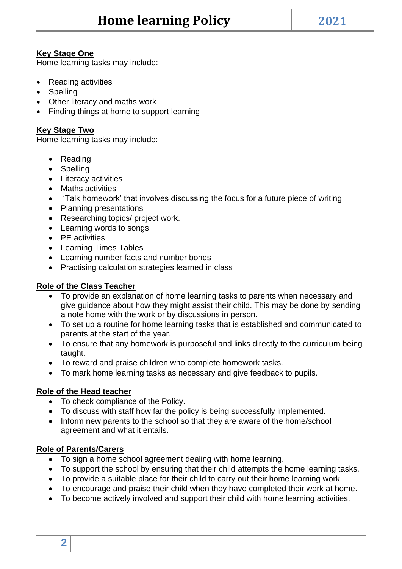#### **Key Stage One**

Home learning tasks may include:

- Reading activities
- Spelling
- Other literacy and maths work
- Finding things at home to support learning

#### **Key Stage Two**

Home learning tasks may include:

- Reading
- Spelling
- Literacy activities
- Maths activities
- 'Talk homework' that involves discussing the focus for a future piece of writing
- Planning presentations
- Researching topics/ project work.
- Learning words to songs
- PE activities
- Learning Times Tables
- Learning number facts and number bonds
- Practising calculation strategies learned in class

#### **Role of the Class Teacher**

- To provide an explanation of home learning tasks to parents when necessary and give guidance about how they might assist their child. This may be done by sending a note home with the work or by discussions in person.
- To set up a routine for home learning tasks that is established and communicated to parents at the start of the year.
- To ensure that any homework is purposeful and links directly to the curriculum being taught.
- To reward and praise children who complete homework tasks.
- To mark home learning tasks as necessary and give feedback to pupils.

#### **Role of the Head teacher**

- To check compliance of the Policy.
- To discuss with staff how far the policy is being successfully implemented.
- Inform new parents to the school so that they are aware of the home/school agreement and what it entails.

#### **Role of Parents/Carers**

- To sign a home school agreement dealing with home learning.
- To support the school by ensuring that their child attempts the home learning tasks.
- To provide a suitable place for their child to carry out their home learning work.
- To encourage and praise their child when they have completed their work at home.
- To become actively involved and support their child with home learning activities.